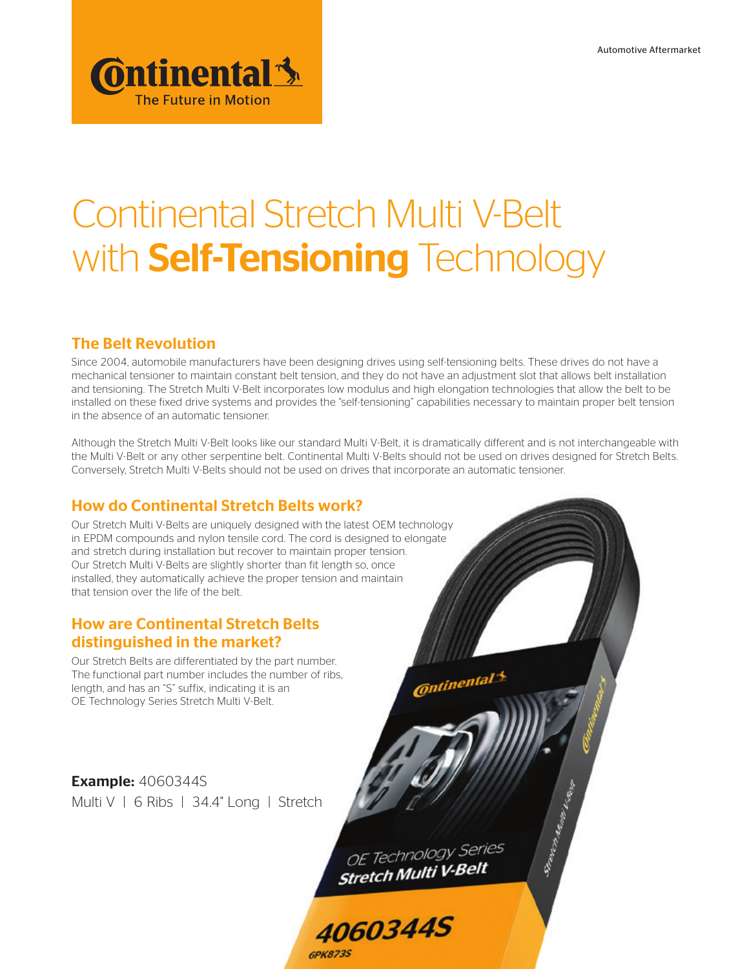

# Continental Stretch Multi V-Belt with **Self-Tensioning** Technology

# The Belt Revolution

Since 2004, automobile manufacturers have been designing drives using self-tensioning belts. These drives do not have a mechanical tensioner to maintain constant belt tension, and they do not have an adjustment slot that allows belt installation and tensioning. The Stretch Multi V-Belt incorporates low modulus and high elongation technologies that allow the belt to be installed on these fixed drive systems and provides the "self-tensioning" capabilities necessary to maintain proper belt tension in the absence of an automatic tensioner.

Although the Stretch Multi V-Belt looks like our standard Multi V-Belt, it is dramatically different and is not interchangeable with the Multi V-Belt or any other serpentine belt. Continental Multi V-Belts should not be used on drives designed for Stretch Belts. Conversely, Stretch Multi V-Belts should not be used on drives that incorporate an automatic tensioner.

# How do Continental Stretch Belts work?

Our Stretch Multi V-Belts are uniquely designed with the latest OEM technology in EPDM compounds and nylon tensile cord. The cord is designed to elongate and stretch during installation but recover to maintain proper tension. Our Stretch Multi V-Belts are slightly shorter than fit length so, once installed, they automatically achieve the proper tension and maintain that tension over the life of the belt.

## How are Continental Stretch Belts distinguished in the market?

Our Stretch Belts are differentiated by the part number. The functional part number includes the number of ribs, length, and has an "S" suffix, indicating it is an OE Technology Series Stretch Multi V-Belt.

**Example: 4060344S** Multi V | 6 Ribs | 34.4" Long | Stretch

> OE Technology Series **Stretch Multi V-Belt**

**Continental** 5

School Hallmark Register

**4060344S GPK873S**